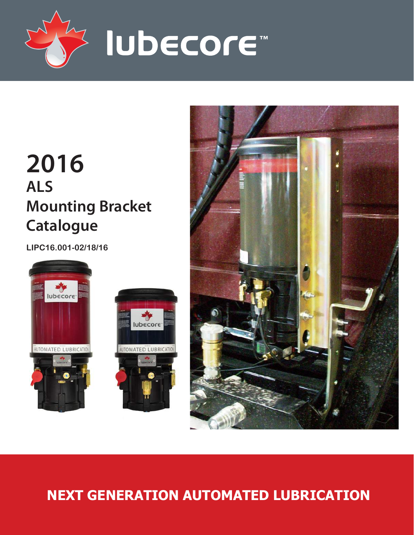

# **2016 ALS Mounting Bracket Catalogue**

**LIPC16.001-02/18/16**







# **NEXT GENERATION AUTOMATED LUBRICATION**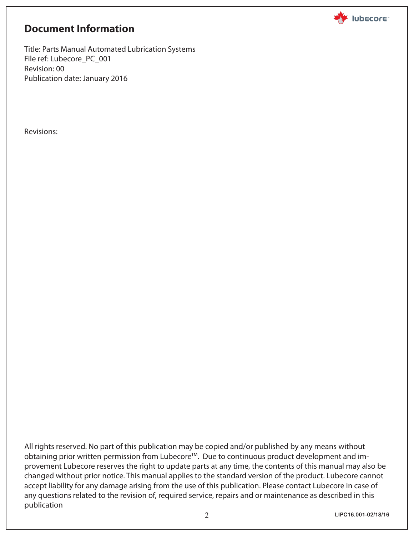

# **Document Information**

Title: Parts Manual Automated Lubrication Systems File ref: Lubecore\_PC\_001 Revision: 00 Publication date: January 2016

Revisions:

All rights reserved. No part of this publication may be copied and/or published by any means without obtaining prior written permission from Lubecore™. Due to continuous product development and improvement Lubecore reserves the right to update parts at any time, the contents of this manual may also be changed without prior notice. This manual applies to the standard version of the product. Lubecore cannot accept liability for any damage arising from the use of this publication. Please contact Lubecore in case of any questions related to the revision of, required service, repairs and or maintenance as described in this publication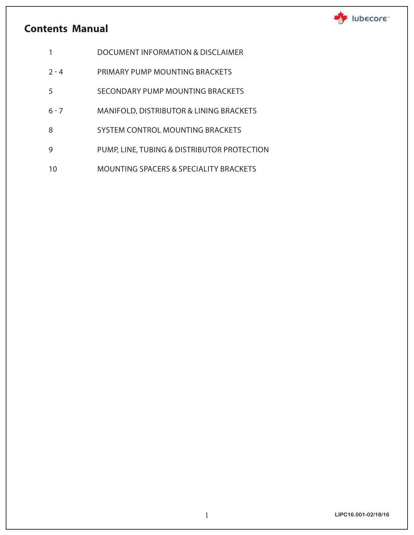## **Contents Manual**



- 1 DOCUMENT INFORMATION & DISCLAIMER
- 2 4 PRIMARY PUMP MOUNTING BRACKETS
- 5 SECONDARY PUMP MOUNTING BRACKETS
- 6 7 MANIFOLD, DISTRIBUTOR & LINING BRACKETS
- 8 SYSTEM CONTROL MOUNTING BRACKETS
- 9 PUMP, LINE, TUBING & DISTRIBUTOR PROTECTION
- 10 MOUNTING SPACERS & SPECIALITY BRACKETS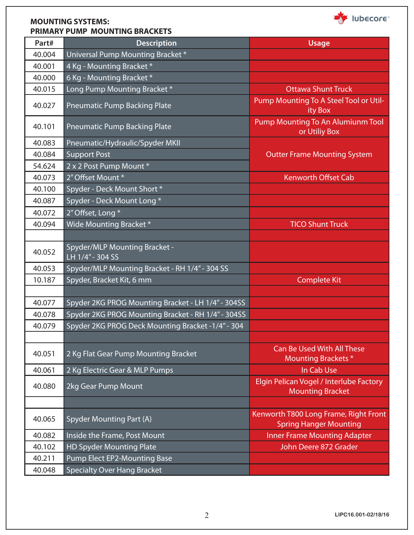

#### **MOUNTING SYSTEMS: PRIMARY PUMP MOUNTING BRACKETS**

| Part#  | <b>Description</b>                                 | <b>Usage</b>                                                           |
|--------|----------------------------------------------------|------------------------------------------------------------------------|
| 40.004 | Universal Pump Mounting Bracket*                   |                                                                        |
| 40.001 | 4 Kg - Mounting Bracket *                          |                                                                        |
| 40.000 | 6 Kg - Mounting Bracket *                          |                                                                        |
| 40.015 | Long Pump Mounting Bracket*                        | Ottawa Shunt Truck                                                     |
| 40.027 | <b>Pneumatic Pump Backing Plate</b>                | Pump Mounting To A Steel Tool or Util-<br>ity Box                      |
| 40.101 | <b>Pneumatic Pump Backing Plate</b>                | Pump Mounting To An Alumiunm Tool<br>or Utiliy Box                     |
| 40.083 | Pneumatic/Hydraulic/Spyder MKII                    |                                                                        |
| 40.084 | <b>Support Post</b>                                | <b>Outter Frame Mounting System</b>                                    |
| 54.624 | 2 x 2 Post Pump Mount *                            |                                                                        |
| 40.073 | 2" Offset Mount *                                  | <b>Kenworth Offset Cab</b>                                             |
| 40.100 | Spyder - Deck Mount Short *                        |                                                                        |
| 40.087 | Spyder - Deck Mount Long *                         |                                                                        |
| 40.072 | 2" Offset, Long *                                  |                                                                        |
| 40.094 | Wide Mounting Bracket *                            | <b>TICO Shunt Truck</b>                                                |
|        |                                                    |                                                                        |
| 40.052 | Spyder/MLP Mounting Bracket -<br>LH 1/4" - 304 SS  |                                                                        |
| 40.053 | Spyder/MLP Mounting Bracket - RH 1/4" - 304 SS     |                                                                        |
| 10.187 | Spyder, Bracket Kit, 6 mm                          | <b>Complete Kit</b>                                                    |
|        |                                                    |                                                                        |
| 40.077 | Spyder 2KG PROG Mounting Bracket - LH 1/4" - 304SS |                                                                        |
| 40.078 | Spyder 2KG PROG Mounting Bracket - RH 1/4" - 304SS |                                                                        |
| 40.079 | Spyder 2KG PROG Deck Mounting Bracket -1/4" - 304  |                                                                        |
|        |                                                    |                                                                        |
| 40.051 | 2 Kg Flat Gear Pump Mounting Bracket               | <b>Can Be Used With All These</b><br><b>Mounting Brackets *</b>        |
| 40.061 | 2 Kg Electric Gear & MLP Pumps                     | In Cab Use                                                             |
| 40.080 | 2kg Gear Pump Mount                                | Elgin Pelican Vogel / Interlube Factory<br><b>Mounting Bracket</b>     |
|        |                                                    |                                                                        |
| 40.065 | Spyder Mounting Part (A)                           | Kenworth T800 Long Frame, Right Front<br><b>Spring Hanger Mounting</b> |
| 40.082 | Inside the Frame, Post Mount                       | <b>Inner Frame Mounting Adapter</b>                                    |
| 40.102 | <b>HD Spyder Mounting Plate</b>                    | John Deere 872 Grader                                                  |
| 40.211 | <b>Pump Elect EP2-Mounting Base</b>                |                                                                        |
| 40.048 | <b>Specialty Over Hang Bracket</b>                 |                                                                        |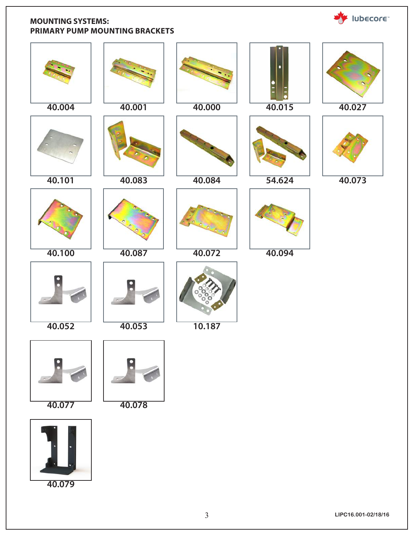#### **MOUNTING SYSTEMS: PRIMARY PUMP MOUNTING BRACKETS**



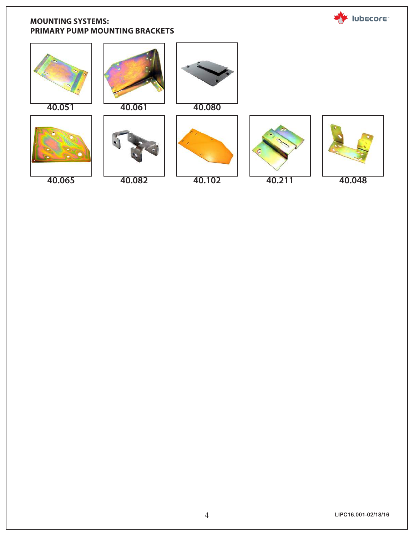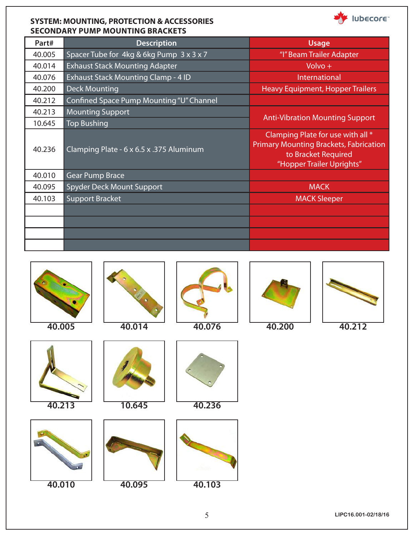#### **SYSTEM: MOUNTING, PROTECTION & ACCESSORIES SECONDARY PUMP MOUNTING BRACKETS**

| Part#  | <b>Description</b>                       | <b>Usage</b>                                                                                                                           |  |
|--------|------------------------------------------|----------------------------------------------------------------------------------------------------------------------------------------|--|
| 40.005 | Spacer Tube for 4kg & 6kg Pump 3 x 3 x 7 | "I" Beam Trailer Adapter                                                                                                               |  |
| 40.014 | <b>Exhaust Stack Mounting Adapter</b>    | $Volume +$                                                                                                                             |  |
| 40.076 | Exhaust Stack Mounting Clamp - 4 ID      | International                                                                                                                          |  |
| 40.200 | <b>Deck Mounting</b>                     | <b>Heavy Equipment, Hopper Trailers</b>                                                                                                |  |
| 40.212 | Confined Space Pump Mounting "U" Channel |                                                                                                                                        |  |
| 40.213 | <b>Mounting Support</b>                  |                                                                                                                                        |  |
| 10.645 | <b>Top Bushing</b>                       | <b>Anti-Vibration Mounting Support</b>                                                                                                 |  |
| 40.236 | Clamping Plate - 6 x 6.5 x .375 Aluminum | Clamping Plate for use with all *<br><b>Primary Mounting Brackets, Fabrication</b><br>to Bracket Required<br>"Hopper Trailer Uprights" |  |
| 40.010 | <b>Gear Pump Brace</b>                   |                                                                                                                                        |  |
| 40.095 | <b>Spyder Deck Mount Support</b>         | <b>MACK</b>                                                                                                                            |  |
| 40.103 | <b>Support Bracket</b>                   | <b>MACK Sleeper</b>                                                                                                                    |  |
|        |                                          |                                                                                                                                        |  |
|        |                                          |                                                                                                                                        |  |
|        |                                          |                                                                                                                                        |  |
|        |                                          |                                                                                                                                        |  |









**40.213 10.645 40.236**





Iubecore

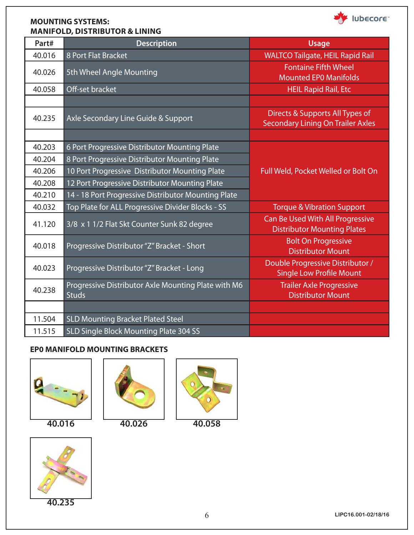#### **MOUNTING SYSTEMS: MANIFOLD, DISTRIBUTOR & LINING**



| Part#  | <b>Description</b>                                                  | <b>Usage</b>                                                                |
|--------|---------------------------------------------------------------------|-----------------------------------------------------------------------------|
| 40.016 | 8 Port Flat Bracket                                                 | <b>WALTCO Tailgate, HEIL Rapid Rail</b>                                     |
| 40.026 | 5th Wheel Angle Mounting                                            | <b>Fontaine Fifth Wheel</b><br><b>Mounted EPO Manifolds</b>                 |
| 40.058 | Off-set bracket                                                     | <b>HEIL Rapid Rail, Etc</b>                                                 |
|        |                                                                     |                                                                             |
| 40.235 | Axle Secondary Line Guide & Support                                 | Directs & Supports All Types of<br><b>Secondary Lining On Trailer Axles</b> |
|        |                                                                     |                                                                             |
| 40.203 | 6 Port Progressive Distributor Mounting Plate                       |                                                                             |
| 40.204 | 8 Port Progressive Distributor Mounting Plate                       |                                                                             |
| 40.206 | 10 Port Progressive Distributor Mounting Plate                      | Full Weld, Pocket Welled or Bolt On                                         |
| 40.208 | 12 Port Progressive Distributor Mounting Plate                      |                                                                             |
| 40.210 | 14 - 18 Port Progressive Distributor Mounting Plate                 |                                                                             |
| 40.032 | Top Plate for ALL Progressive Divider Blocks - SS                   | <b>Torque &amp; Vibration Support</b>                                       |
| 41.120 | 3/8 x 1 1/2 Flat Skt Counter Sunk 82 degree                         | Can Be Used With All Progressive<br><b>Distributor Mounting Plates</b>      |
| 40.018 | Progressive Distributor "Z" Bracket - Short                         | <b>Bolt On Progressive</b><br><b>Distributor Mount</b>                      |
| 40.023 | Progressive Distributor "Z" Bracket - Long                          | Double Progressive Distributor /<br><b>Single Low Profile Mount</b>         |
| 40.238 | Progressive Distributor Axle Mounting Plate with M6<br><b>Studs</b> | <b>Trailer Axle Progressive</b><br><b>Distributor Mount</b>                 |
|        |                                                                     |                                                                             |
| 11.504 | <b>SLD Mounting Bracket Plated Steel</b>                            |                                                                             |
| 11.515 | <b>SLD Single Block Mounting Plate 304 SS</b>                       |                                                                             |

### **EP0 MANIFOLD MOUNTING BRACKETS**





**40.016 40.026 40.058**





**40.235**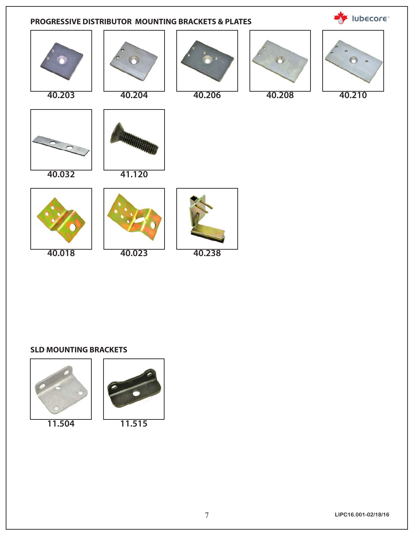

#### **SLD MOUNTING BRACKETS**



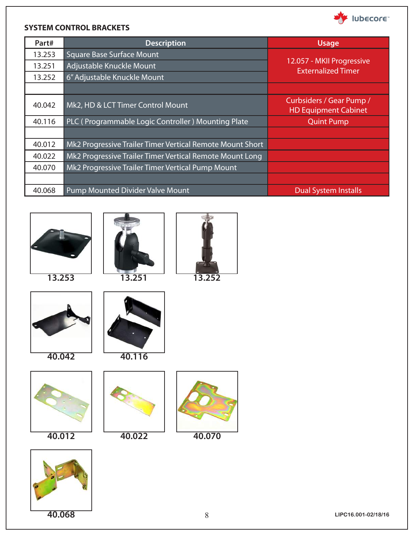

#### **SYSTEM CONTROL BRACKETS**

| Part#  | <b>Description</b>                                        | <b>Usage</b>                                            |
|--------|-----------------------------------------------------------|---------------------------------------------------------|
| 13.253 | <b>Square Base Surface Mount</b>                          |                                                         |
| 13.251 | Adjustable Knuckle Mount                                  | 12.057 - MKII Progressive<br><b>Externalized Timer</b>  |
| 13.252 | 6" Adjustable Knuckle Mount                               |                                                         |
|        |                                                           |                                                         |
| 40.042 | Mk2, HD & LCT Timer Control Mount                         | Curbsiders / Gear Pump /<br><b>HD Equipment Cabinet</b> |
| 40.116 | PLC (Programmable Logic Controller) Mounting Plate        | <b>Quint Pump</b>                                       |
|        |                                                           |                                                         |
| 40.012 | Mk2 Progressive Trailer Timer Vertical Remote Mount Short |                                                         |
| 40.022 | Mk2 Progressive Trailer Timer Vertical Remote Mount Long  |                                                         |
| 40.070 | Mk2 Progressive Trailer Timer Vertical Pump Mount         |                                                         |
|        |                                                           |                                                         |
| 40.068 | <b>Pump Mounted Divider Valve Mount</b>                   | <b>Dual System Installs</b>                             |

















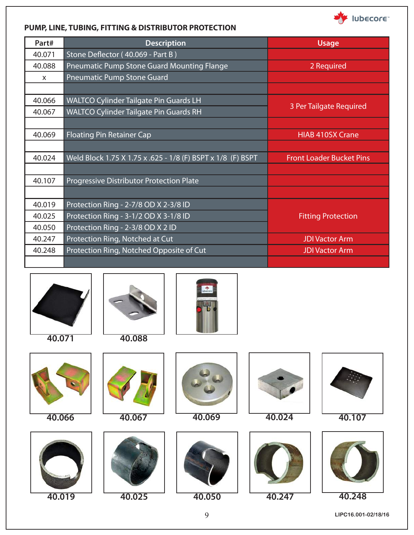

#### **PUMP, LINE, TUBING, FITTING & DISTRIBUTOR PROTECTION**

| Part#        | <b>Description</b>                                          | <b>Usage</b>                    |
|--------------|-------------------------------------------------------------|---------------------------------|
| 40.071       | Stone Deflector (40.069 - Part B)                           |                                 |
| 40.088       | Pneumatic Pump Stone Guard Mounting Flange                  | 2 Required                      |
| $\mathsf{x}$ | <b>Pneumatic Pump Stone Guard</b>                           |                                 |
|              |                                                             |                                 |
| 40.066       | <b>WALTCO Cylinder Tailgate Pin Guards LH</b>               |                                 |
| 40.067       | <b>WALTCO Cylinder Tailgate Pin Guards RH</b>               | 3 Per Tailgate Required         |
|              |                                                             |                                 |
| 40.069       | <b>Floating Pin Retainer Cap</b>                            | <b>HIAB 410SX Crane</b>         |
|              |                                                             |                                 |
| 40.024       | Weld Block 1.75 X 1.75 x .625 - 1/8 (F) BSPT x 1/8 (F) BSPT | <b>Front Loader Bucket Pins</b> |
|              |                                                             |                                 |
| 40.107       | Progressive Distributor Protection Plate                    |                                 |
|              |                                                             |                                 |
| 40.019       | Protection Ring - 2-7/8 OD X 2-3/8 ID                       |                                 |
| 40.025       | Protection Ring - 3-1/2 OD X 3-1/8 ID                       | <b>Fitting Protection</b>       |
| 40.050       | Protection Ring - 2-3/8 OD X 2 ID                           |                                 |
| 40.247       | Protection Ring, Notched at Cut                             | <b>JDI Vactor Arm</b>           |
| 40.248       | Protection Ring, Notched Opposite of Cut                    | <b>JDI Vactor Arm</b>           |
|              |                                                             |                                 |

















**40.069 40.024**



**40.019 40.025 40.050 40.247**





**40.248**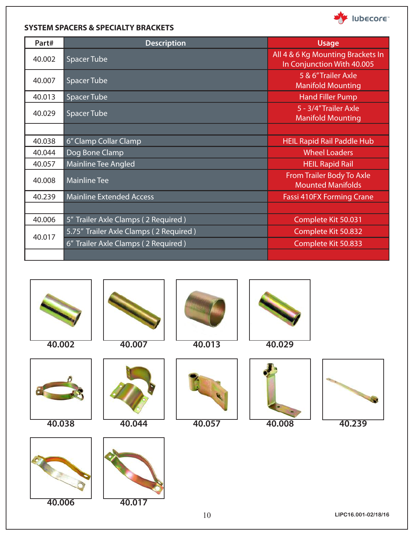

#### **SYSTEM SPACERS & SPECIALTY BRACKETS**

| Part#  | <b>Description</b>                     | <b>Usage</b>                                                    |
|--------|----------------------------------------|-----------------------------------------------------------------|
| 40.002 | <b>Spacer Tube</b>                     | All 4 & 6 Kg Mounting Brackets In<br>In Conjunction With 40.005 |
| 40.007 | <b>Spacer Tube</b>                     | 5 & 6"Trailer Axle<br><b>Manifold Mounting</b>                  |
| 40.013 | <b>Spacer Tube</b>                     | <b>Hand Filler Pump</b>                                         |
| 40.029 | <b>Spacer Tube</b>                     | 5 - 3/4" Trailer Axle<br><b>Manifold Mounting</b>               |
|        |                                        |                                                                 |
| 40.038 | 6" Clamp Collar Clamp                  | <b>HEIL Rapid Rail Paddle Hub</b>                               |
| 40.044 | Dog Bone Clamp                         | <b>Wheel Loaders</b>                                            |
| 40.057 | <b>Mainline Tee Angled</b>             | <b>HEIL Rapid Rail</b>                                          |
| 40.008 | <b>Mainline Tee</b>                    | From Trailer Body To Axle<br><b>Mounted Manifolds</b>           |
| 40.239 | <b>Mainline Extended Access</b>        | <b>Fassi 410FX Forming Crane</b>                                |
|        |                                        |                                                                 |
| 40.006 | 5" Trailer Axle Clamps (2 Required)    | Complete Kit 50.031                                             |
|        | 5.75" Trailer Axle Clamps (2 Required) | Complete Kit 50.832                                             |
| 40.017 | 6" Trailer Axle Clamps (2 Required)    | Complete Kit 50.833                                             |
|        |                                        |                                                                 |